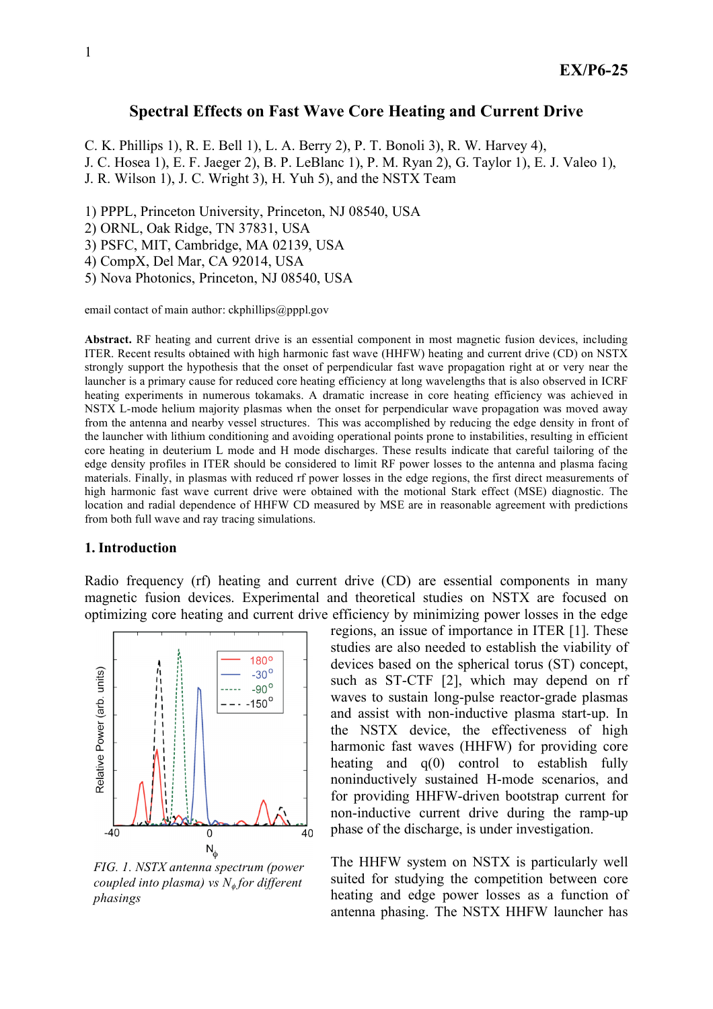# **Spectral Effects on Fast Wave Core Heating and Current Drive**

C. K. Phillips 1), R. E. Bell 1), L. A. Berry 2), P. T. Bonoli 3), R. W. Harvey 4),

J. C. Hosea 1), E. F. Jaeger 2), B. P. LeBlanc 1), P. M. Ryan 2), G. Taylor 1), E. J. Valeo 1),

J. R. Wilson 1), J. C. Wright 3), H. Yuh 5), and the NSTX Team

1) PPPL, Princeton University, Princeton, NJ 08540, USA

2) ORNL, Oak Ridge, TN 37831, USA

3) PSFC, MIT, Cambridge, MA 02139, USA

4) CompX, Del Mar, CA 92014, USA

5) Nova Photonics, Princeton, NJ 08540, USA

email contact of main author:  $ckphilips@pppl.gov$ 

**Abstract.** RF heating and current drive is an essential component in most magnetic fusion devices, including ITER. Recent results obtained with high harmonic fast wave (HHFW) heating and current drive (CD) on NSTX strongly support the hypothesis that the onset of perpendicular fast wave propagation right at or very near the launcher is a primary cause for reduced core heating efficiency at long wavelengths that is also observed in ICRF heating experiments in numerous tokamaks. A dramatic increase in core heating efficiency was achieved in NSTX L-mode helium majority plasmas when the onset for perpendicular wave propagation was moved away from the antenna and nearby vessel structures. This was accomplished by reducing the edge density in front of the launcher with lithium conditioning and avoiding operational points prone to instabilities, resulting in efficient core heating in deuterium L mode and H mode discharges. These results indicate that careful tailoring of the edge density profiles in ITER should be considered to limit RF power losses to the antenna and plasma facing materials. Finally, in plasmas with reduced rf power losses in the edge regions, the first direct measurements of high harmonic fast wave current drive were obtained with the motional Stark effect (MSE) diagnostic. The location and radial dependence of HHFW CD measured by MSE are in reasonable agreement with predictions from both full wave and ray tracing simulations.

### **1. Introduction**

Radio frequency (rf) heating and current drive (CD) are essential components in many magnetic fusion devices. Experimental and theoretical studies on NSTX are focused on optimizing core heating and current drive efficiency by minimizing power losses in the edge



*FIG. 1. NSTX antenna spectrum (power coupled into plasma) vs N*<sup>φ</sup> *for different phasings*

regions, an issue of importance in ITER [1]. These studies are also needed to establish the viability of devices based on the spherical torus (ST) concept, such as ST-CTF [2], which may depend on rf waves to sustain long-pulse reactor-grade plasmas and assist with non-inductive plasma start-up. In the NSTX device, the effectiveness of high harmonic fast waves (HHFW) for providing core heating and q(0) control to establish fully noninductively sustained H-mode scenarios, and for providing HHFW-driven bootstrap current for non-inductive current drive during the ramp-up phase of the discharge, is under investigation.

The HHFW system on NSTX is particularly well suited for studying the competition between core heating and edge power losses as a function of antenna phasing. The NSTX HHFW launcher has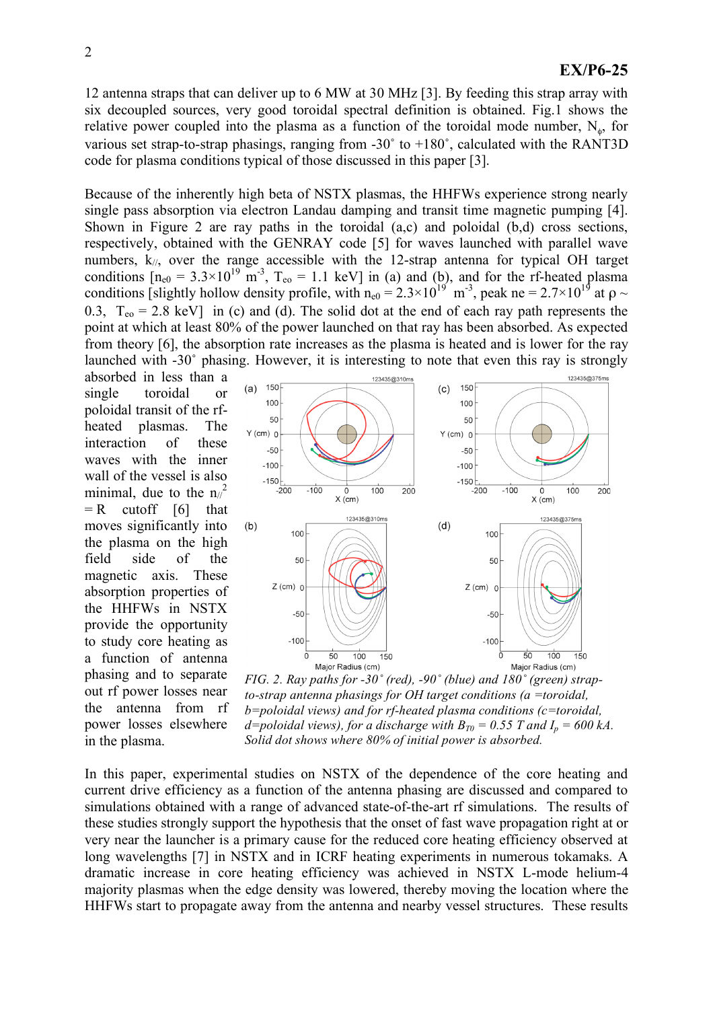12 antenna straps that can deliver up to 6 MW at 30 MHz [3]. By feeding this strap array with six decoupled sources, very good toroidal spectral definition is obtained. Fig.1 shows the relative power coupled into the plasma as a function of the toroidal mode number,  $N_{\phi}$ , for various set strap-to-strap phasings, ranging from  $-30^\circ$  to  $+180^\circ$ , calculated with the RANT3D code for plasma conditions typical of those discussed in this paper [3].

Because of the inherently high beta of NSTX plasmas, the HHFWs experience strong nearly single pass absorption via electron Landau damping and transit time magnetic pumping [4]. Shown in Figure 2 are ray paths in the toroidal (a,c) and poloidal (b,d) cross sections, respectively, obtained with the GENRAY code [5] for waves launched with parallel wave numbers,  $k_{\ell}$ , over the range accessible with the 12-strap antenna for typical OH target conditions  $[n_{e0} = 3.3 \times 10^{19} \text{ m}^3$ ,  $T_{e0} = 1.1 \text{ keV}$  in (a) and (b), and for the rf-heated plasma conditions [slightly hollow density profile, with  $n_{e0} = 2.3 \times 10^{19}$  m<sup>-3</sup>, peak ne = 2.7×10<sup>19</sup> at  $\rho \sim$ 0.3,  $T_{eq} = 2.8 \text{ keV}$  in (c) and (d). The solid dot at the end of each ray path represents the point at which at least 80% of the power launched on that ray has been absorbed. As expected from theory [6], the absorption rate increases as the plasma is heated and is lower for the ray launched with -30˚ phasing. However, it is interesting to note that even this ray is strongly

absorbed in less than a single toroidal or poloidal transit of the rfheated plasmas. The interaction of these waves with the inner wall of the vessel is also minimal, due to the  $n_{\ell}^2$  $= R$  cutoff [6] that moves significantly into the plasma on the high field side of the magnetic axis. These absorption properties of the HHFWs in NSTX provide the opportunity to study core heating as a function of antenna phasing and to separate out rf power losses near the antenna from rf power losses elsewhere in the plasma.



*FIG. 2. Ray paths for -30˚ (red), -90˚ (blue) and 180˚ (green) strapto-strap antenna phasings for OH target conditions (a =toroidal, b=poloidal views) and for rf-heated plasma conditions (c=toroidal, d*=poloidal views), for a discharge with  $B_{T0} = 0.55$  T and  $I_p = 600$  kA. *Solid dot shows where 80% of initial power is absorbed.*

In this paper, experimental studies on NSTX of the dependence of the core heating and current drive efficiency as a function of the antenna phasing are discussed and compared to simulations obtained with a range of advanced state-of-the-art rf simulations. The results of these studies strongly support the hypothesis that the onset of fast wave propagation right at or very near the launcher is a primary cause for the reduced core heating efficiency observed at long wavelengths [7] in NSTX and in ICRF heating experiments in numerous tokamaks. A dramatic increase in core heating efficiency was achieved in NSTX L-mode helium-4 majority plasmas when the edge density was lowered, thereby moving the location where the HHFWs start to propagate away from the antenna and nearby vessel structures. These results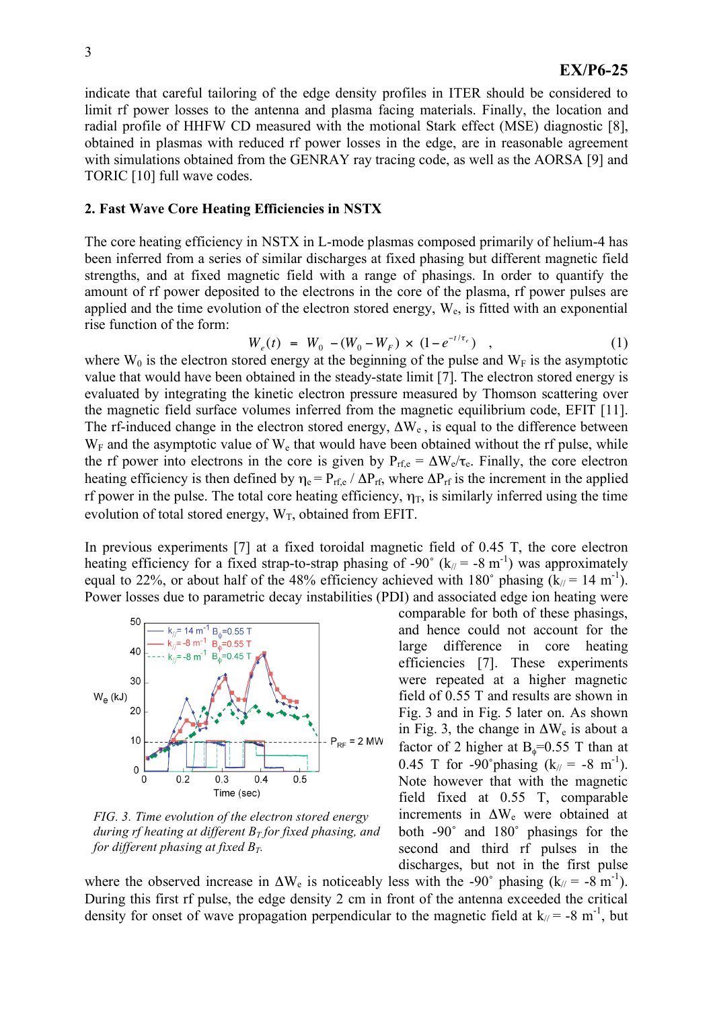indicate that careful tailoring of the edge density profiles in ITER should be considered to limit rf power losses to the antenna and plasma facing materials. Finally, the location and radial profile of HHFW CD measured with the motional Stark effect (MSE) diagnostic [8], obtained in plasmas with reduced rf power losses in the edge, are in reasonable agreement with simulations obtained from the GENRAY ray tracing code, as well as the AORSA [9] and TORIC [10] full wave codes.

#### **2. Fast Wave Core Heating Efficiencies in NSTX**

The core heating efficiency in NSTX in L-mode plasmas composed primarily of helium-4 has been inferred from a series of similar discharges at fixed phasing but different magnetic field strengths, and at fixed magnetic field with a range of phasings. In order to quantify the amount of rf power deposited to the electrons in the core of the plasma, rf power pulses are applied and the time evolution of the electron stored energy,  $W_e$ , is fitted with an exponential rise function of the form:

$$
W_e(t) = W_0 - (W_0 - W_F) \times (1 - e^{-t/\tau_e}) \quad , \tag{1}
$$

the magnetic field surface volumes inferred from the magnetic equilibrium code, EFIT [11]. where  $W_0$  is the electron stored energy at the beginning of the pulse and  $W_F$  is the asymptotic value that would have been obtained in the steady-state limit [7]. The electron stored energy is evaluated by integrating the kinetic electron pressure measured by Thomson scattering over The rf-induced change in the electron stored energy,  $\Delta W_e$ , is equal to the difference between  $W_F$  and the asymptotic value of  $W_e$  that would have been obtained without the rf pulse, while the rf power into electrons in the core is given by  $P_{\text{rf,e}} = \Delta W_e / \tau_e$ . Finally, the core electron heating efficiency is then defined by  $\eta_e = P_{\text{rf},e} / \Delta P_{\text{rf}}$ , where  $\Delta P_{\text{rf}}$  is the increment in the applied rf power in the pulse. The total core heating efficiency,  $\eta_T$ , is similarly inferred using the time evolution of total stored energy,  $W_T$ , obtained from EFIT.

In previous experiments [7] at a fixed toroidal magnetic field of 0.45 T, the core electron heating efficiency for a fixed strap-to-strap phasing of -90° ( $k_{\ell}$  = -8 m<sup>-1</sup>) was approximately equal to 22%, or about half of the 48% efficiency achieved with 180° phasing  $(k_1/ = 14 \text{ m}^{-1})$ . Power losses due to parametric decay instabilities (PDI) and associated edge ion heating were



*FIG. 3. Time evolution of the electron stored energy during rf heating at different*  $B_T$  *for fixed phasing*, *and for different phasing at fixed*  $B_T$ .

comparable for both of these phasings, and hence could not account for the large difference in core heating efficiencies [7]. These experiments were repeated at a higher magnetic field of 0.55 T and results are shown in Fig. 3 and in Fig. 5 later on. As shown in Fig. 3, the change in  $\Delta W_e$  is about a factor of 2 higher at  $B_0=0.55$  T than at 0.45 T for -90° phasing  $(k_{\ell} = -8 \text{ m}^{-1})$ . Note however that with the magnetic field fixed at 0.55 T, comparable increments in ΔWe were obtained at both -90˚ and 180˚ phasings for the second and third rf pulses in the discharges, but not in the first pulse

where the observed increase in  $\Delta W_e$  is noticeably less with the -90° phasing (k<sub>/</sub>/ = -8 m<sup>-1</sup>). During this first rf pulse, the edge density 2 cm in front of the antenna exceeded the critical density for onset of wave propagation perpendicular to the magnetic field at  $k_$  = -8 m<sup>-1</sup>, but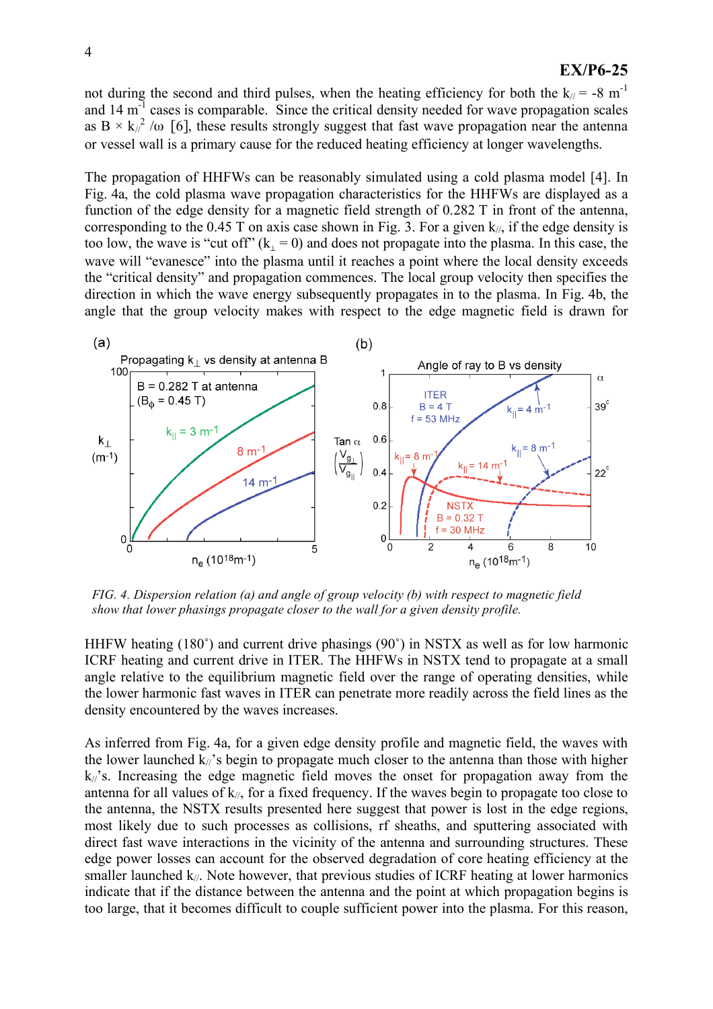not during the second and third pulses, when the heating efficiency for both the  $k/ = -8$  m<sup>-1</sup> and  $14 \text{ m}^3$  cases is comparable. Since the critical density needed for wave propagation scales as B  $\times$  k<sub>/</sub> $^2$  /ω [6], these results strongly suggest that fast wave propagation near the antenna or vessel wall is a primary cause for the reduced heating efficiency at longer wavelengths.

The propagation of HHFWs can be reasonably simulated using a cold plasma model [4]. In Fig. 4a, the cold plasma wave propagation characteristics for the HHFWs are displayed as a function of the edge density for a magnetic field strength of 0.282 T in front of the antenna, corresponding to the 0.45 T on axis case shown in Fig. 3. For a given  $k_{\ell}$ , if the edge density is too low, the wave is "cut off"  $(k_1 = 0)$  and does not propagate into the plasma. In this case, the wave will "evanesce" into the plasma until it reaches a point where the local density exceeds the "critical density" and propagation commences. The local group velocity then specifies the direction in which the wave energy subsequently propagates in to the plasma. In Fig. 4b, the angle that the group velocity makes with respect to the edge magnetic field is drawn for



*FIG. 4. Dispersion relation (a) and angle of group velocity (b) with respect to magnetic field show that lower phasings propagate closer to the wall for a given density profile.*

HHFW heating (180˚) and current drive phasings (90˚) in NSTX as well as for low harmonic ICRF heating and current drive in ITER. The HHFWs in NSTX tend to propagate at a small angle relative to the equilibrium magnetic field over the range of operating densities, while the lower harmonic fast waves in ITER can penetrate more readily across the field lines as the density encountered by the waves increases.

As inferred from Fig. 4a, for a given edge density profile and magnetic field, the waves with the lower launched  $k_{\ell}$ 's begin to propagate much closer to the antenna than those with higher  $k/\gamma$ 's. Increasing the edge magnetic field moves the onset for propagation away from the antenna for all values of  $k_{\ell}$ , for a fixed frequency. If the waves begin to propagate too close to the antenna, the NSTX results presented here suggest that power is lost in the edge regions, most likely due to such processes as collisions, rf sheaths, and sputtering associated with direct fast wave interactions in the vicinity of the antenna and surrounding structures. These edge power losses can account for the observed degradation of core heating efficiency at the smaller launched  $k_{\ell}$ . Note however, that previous studies of ICRF heating at lower harmonics indicate that if the distance between the antenna and the point at which propagation begins is too large, that it becomes difficult to couple sufficient power into the plasma. For this reason,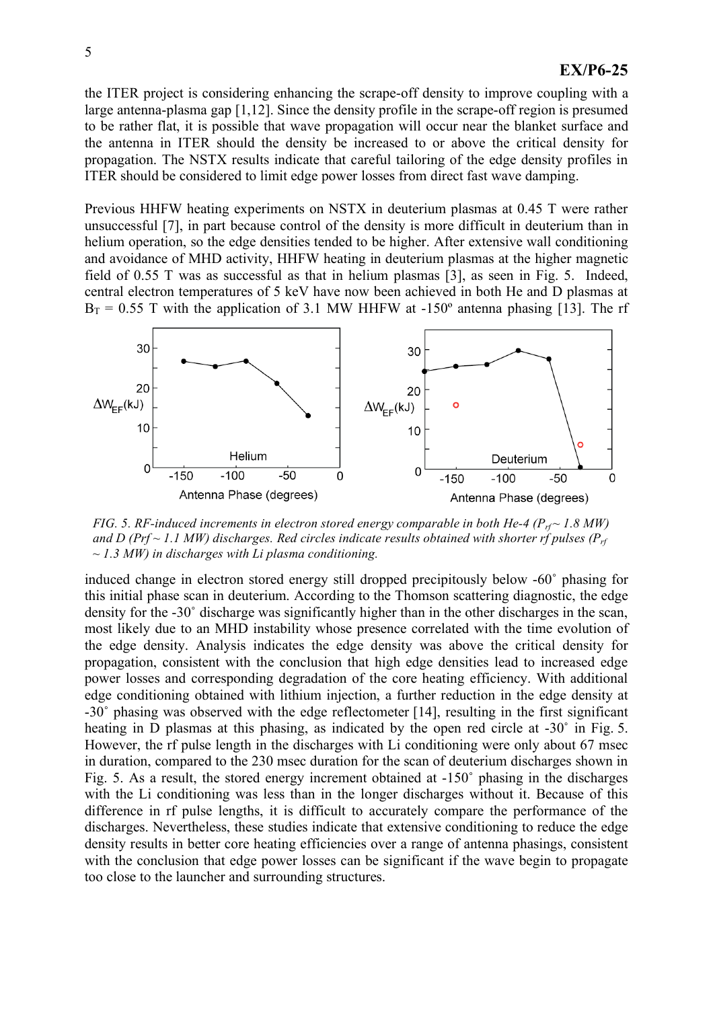the ITER project is considering enhancing the scrape-off density to improve coupling with a large antenna-plasma gap [1,12]. Since the density profile in the scrape-off region is presumed to be rather flat, it is possible that wave propagation will occur near the blanket surface and the antenna in ITER should the density be increased to or above the critical density for propagation. The NSTX results indicate that careful tailoring of the edge density profiles in ITER should be considered to limit edge power losses from direct fast wave damping.

Previous HHFW heating experiments on NSTX in deuterium plasmas at 0.45 T were rather unsuccessful [7], in part because control of the density is more difficult in deuterium than in helium operation, so the edge densities tended to be higher. After extensive wall conditioning and avoidance of MHD activity, HHFW heating in deuterium plasmas at the higher magnetic field of 0.55 T was as successful as that in helium plasmas [3], as seen in Fig. 5. Indeed, central electron temperatures of 5 keV have now been achieved in both He and D plasmas at  $B_T = 0.55$  T with the application of 3.1 MW HHFW at -150<sup>o</sup> antenna phasing [13]. The rf



*FIG.* 5. *RF-induced increments in electron stored energy comparable in both He-4*  $(P_{rf} \sim 1.8$  *MW*) *and*  $D$  *(Prf*  $\sim$  1.1 *MW)* discharges. Red circles *indicate results obtained with shorter rf pulses (P<sub>rf</sub> ~ 1.3 MW) in discharges with Li plasma conditioning.*

induced change in electron stored energy still dropped precipitously below -60˚ phasing for this initial phase scan in deuterium. According to the Thomson scattering diagnostic, the edge density for the -30˚ discharge was significantly higher than in the other discharges in the scan, most likely due to an MHD instability whose presence correlated with the time evolution of the edge density. Analysis indicates the edge density was above the critical density for propagation, consistent with the conclusion that high edge densities lead to increased edge power losses and corresponding degradation of the core heating efficiency. With additional edge conditioning obtained with lithium injection, a further reduction in the edge density at -30˚ phasing was observed with the edge reflectometer [14], resulting in the first significant heating in D plasmas at this phasing, as indicated by the open red circle at -30° in Fig. 5. However, the rf pulse length in the discharges with Li conditioning were only about 67 msec in duration, compared to the 230 msec duration for the scan of deuterium discharges shown in Fig. 5. As a result, the stored energy increment obtained at -150˚ phasing in the discharges with the Li conditioning was less than in the longer discharges without it. Because of this difference in rf pulse lengths, it is difficult to accurately compare the performance of the discharges. Nevertheless, these studies indicate that extensive conditioning to reduce the edge density results in better core heating efficiencies over a range of antenna phasings, consistent with the conclusion that edge power losses can be significant if the wave begin to propagate too close to the launcher and surrounding structures.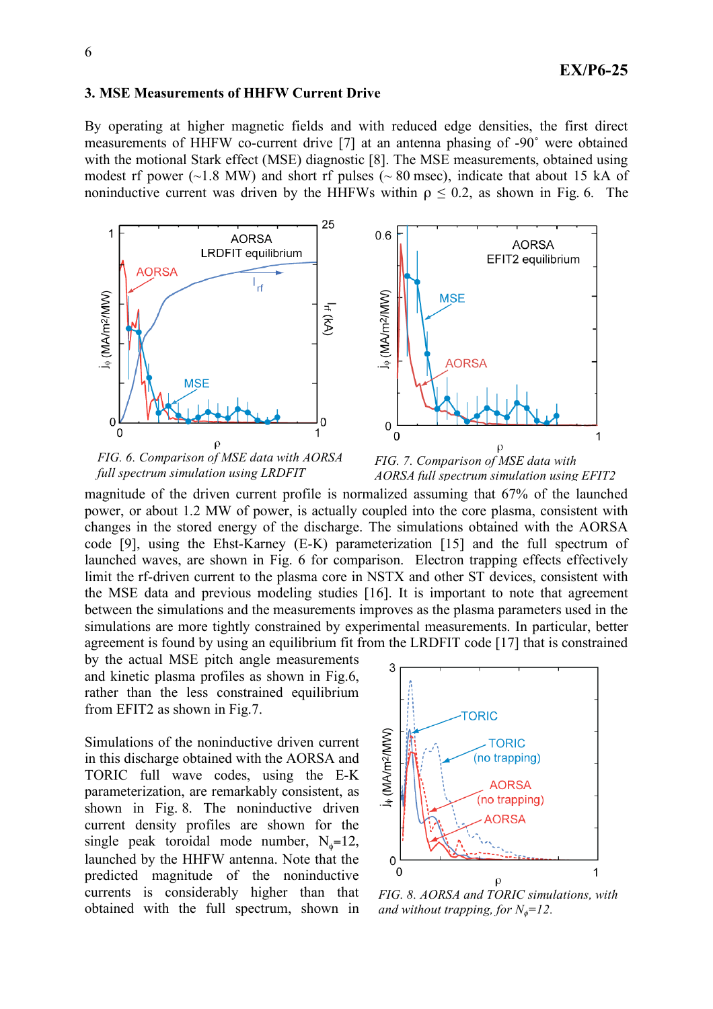## **3. MSE Measurements of HHFW Current Drive**

By operating at higher magnetic fields and with reduced edge densities, the first direct measurements of HHFW co-current drive [7] at an antenna phasing of -90˚ were obtained with the motional Stark effect (MSE) diagnostic [8]. The MSE measurements, obtained using modest rf power  $(\sim 1.8 \text{ MW})$  and short rf pulses  $(\sim 80 \text{ msec})$ , indicate that about 15 kA of noninductive current was driven by the HHFWs within  $\rho \le 0.2$ , as shown in Fig. 6. The



*FIG. 6. Comparison of MSE data with AORSA full spectrum simulation using LRDFIT*

*FIG. 7. Comparison of MSE data with AORSA full spectrum simulation using EFIT2*

magnitude of the driven current profile is normalized assuming that 67% of the launched power, or about 1.2 MW of power, is actually coupled into the core plasma, consistent with changes in the stored energy of the discharge. The simulations obtained with the AORSA code [9], using the Ehst-Karney (E-K) parameterization [15] and the full spectrum of launched waves, are shown in Fig. 6 for comparison. Electron trapping effects effectively limit the rf-driven current to the plasma core in NSTX and other ST devices, consistent with the MSE data and previous modeling studies [16]. It is important to note that agreement between the simulations and the measurements improves as the plasma parameters used in the simulations are more tightly constrained by experimental measurements. In particular, better agreement is found by using an equilibrium fit from the LRDFIT code [17] that is constrained

by the actual MSE pitch angle measurements and kinetic plasma profiles as shown in Fig.6, rather than the less constrained equilibrium from EFIT2 as shown in Fig.7.

Simulations of the noninductive driven current in this discharge obtained with the AORSA and TORIC full wave codes, using the E-K parameterization, are remarkably consistent, as shown in Fig. 8. The noninductive driven current density profiles are shown for the single peak toroidal mode number,  $N_{\phi} = 12$ , launched by the HHFW antenna. Note that the predicted magnitude of the noninductive currents is considerably higher than that obtained with the full spectrum, shown in



*FIG. 8. AORSA and TORIC simulations, with and* without *trapping*, *for*  $N_{\phi} = 12$ .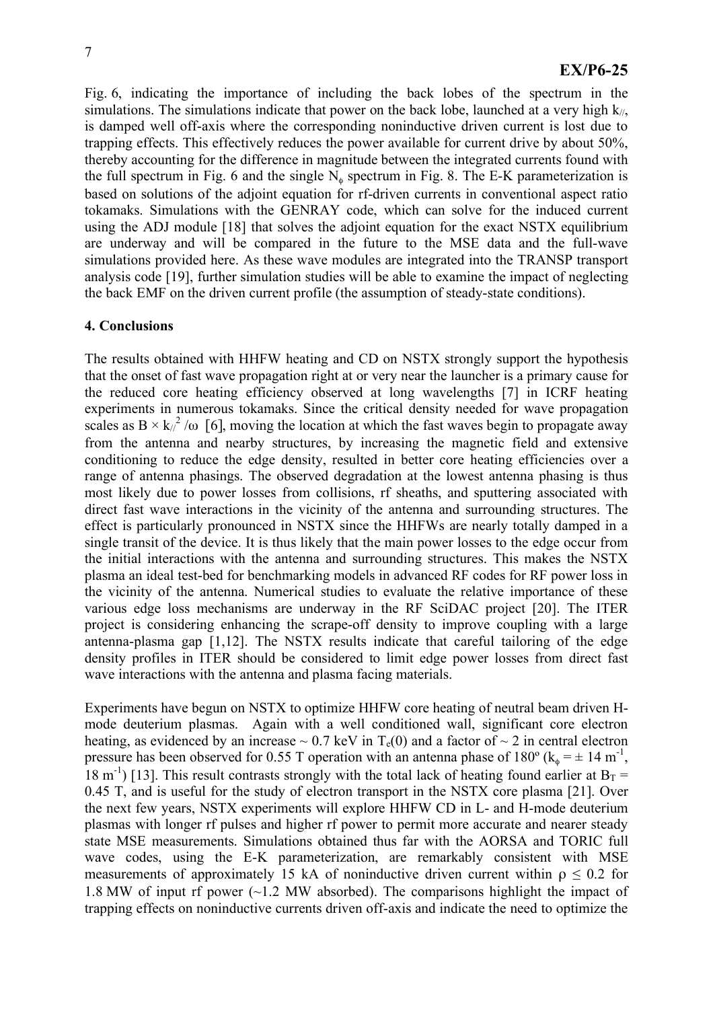Fig. 6, indicating the importance of including the back lobes of the spectrum in the simulations. The simulations indicate that power on the back lobe, launched at a very high  $k_{\ell}$ , is damped well off-axis where the corresponding noninductive driven current is lost due to trapping effects. This effectively reduces the power available for current drive by about 50%, thereby accounting for the difference in magnitude between the integrated currents found with the full spectrum in Fig. 6 and the single  $N_{\phi}$  spectrum in Fig. 8. The E-K parameterization is based on solutions of the adjoint equation for rf-driven currents in conventional aspect ratio tokamaks. Simulations with the GENRAY code, which can solve for the induced current using the ADJ module [18] that solves the adjoint equation for the exact NSTX equilibrium are underway and will be compared in the future to the MSE data and the full-wave simulations provided here. As these wave modules are integrated into the TRANSP transport analysis code [19], further simulation studies will be able to examine the impact of neglecting the back EMF on the driven current profile (the assumption of steady-state conditions).

#### **4. Conclusions**

The results obtained with HHFW heating and CD on NSTX strongly support the hypothesis that the onset of fast wave propagation right at or very near the launcher is a primary cause for the reduced core heating efficiency observed at long wavelengths [7] in ICRF heating experiments in numerous tokamaks. Since the critical density needed for wave propagation scales as B  $\times$  k<sub>/</sub> $^{2}$  /ω [6], moving the location at which the fast waves begin to propagate away from the antenna and nearby structures, by increasing the magnetic field and extensive conditioning to reduce the edge density, resulted in better core heating efficiencies over a range of antenna phasings. The observed degradation at the lowest antenna phasing is thus most likely due to power losses from collisions, rf sheaths, and sputtering associated with direct fast wave interactions in the vicinity of the antenna and surrounding structures. The effect is particularly pronounced in NSTX since the HHFWs are nearly totally damped in a single transit of the device. It is thus likely that the main power losses to the edge occur from the initial interactions with the antenna and surrounding structures. This makes the NSTX plasma an ideal test-bed for benchmarking models in advanced RF codes for RF power loss in the vicinity of the antenna. Numerical studies to evaluate the relative importance of these various edge loss mechanisms are underway in the RF SciDAC project [20]. The ITER project is considering enhancing the scrape-off density to improve coupling with a large antenna-plasma gap [1,12]. The NSTX results indicate that careful tailoring of the edge density profiles in ITER should be considered to limit edge power losses from direct fast wave interactions with the antenna and plasma facing materials.

Experiments have begun on NSTX to optimize HHFW core heating of neutral beam driven Hmode deuterium plasmas. Again with a well conditioned wall, significant core electron heating, as evidenced by an increase  $\sim 0.7$  keV in T<sub>e</sub>(0) and a factor of  $\sim 2$  in central electron pressure has been observed for 0.55 T operation with an antenna phase of 180° ( $k_{\phi} = \pm 14$  m<sup>-1</sup>, 18 m<sup>-1</sup>) [13]. This result contrasts strongly with the total lack of heating found earlier at  $B_T =$ 0.45 T, and is useful for the study of electron transport in the NSTX core plasma [21]. Over the next few years, NSTX experiments will explore HHFW CD in L- and H-mode deuterium plasmas with longer rf pulses and higher rf power to permit more accurate and nearer steady state MSE measurements. Simulations obtained thus far with the AORSA and TORIC full wave codes, using the E-K parameterization, are remarkably consistent with MSE measurements of approximately 15 kA of noninductive driven current within  $\rho \leq 0.2$  for 1.8 MW of input rf power (~1.2 MW absorbed). The comparisons highlight the impact of trapping effects on noninductive currents driven off-axis and indicate the need to optimize the